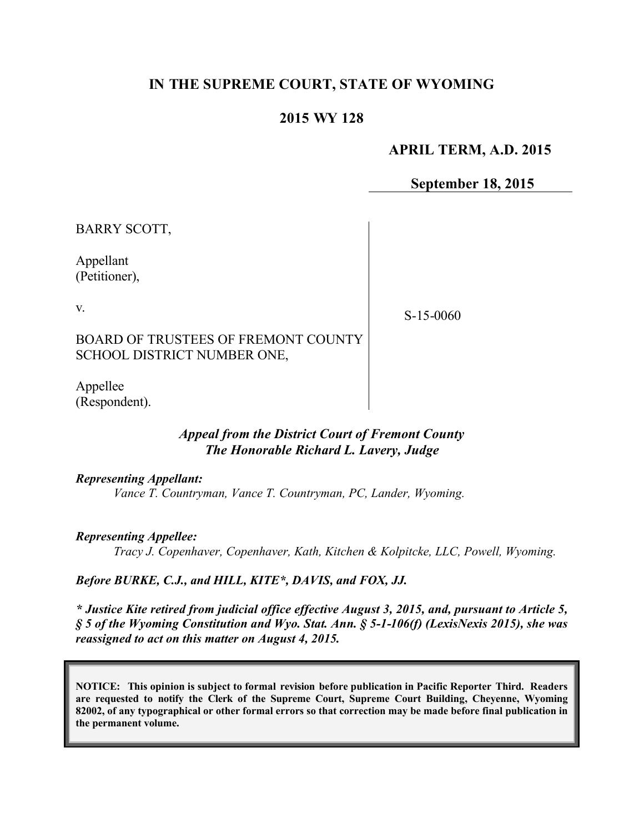# **IN THE SUPREME COURT, STATE OF WYOMING**

## **2015 WY 128**

#### **APRIL TERM, A.D. 2015**

**September 18, 2015**

BARRY SCOTT,

Appellant (Petitioner),

v.

S-15-0060

BOARD OF TRUSTEES OF FREMONT COUNTY SCHOOL DISTRICT NUMBER ONE,

Appellee (Respondent).

#### *Appeal from the District Court of Fremont County The Honorable Richard L. Lavery, Judge*

*Representing Appellant:*

*Vance T. Countryman, Vance T. Countryman, PC, Lander, Wyoming.*

*Representing Appellee:*

*Tracy J. Copenhaver, Copenhaver, Kath, Kitchen & Kolpitcke, LLC, Powell, Wyoming.*

#### *Before BURKE, C.J., and HILL, KITE\*, DAVIS, and FOX, JJ.*

*\* Justice Kite retired from judicial office effective August 3, 2015, and, pursuant to Article 5, § 5 of the Wyoming Constitution and Wyo. Stat. Ann. § 5-1-106(f) (LexisNexis 2015), she was reassigned to act on this matter on August 4, 2015.*

**NOTICE: This opinion is subject to formal revision before publication in Pacific Reporter Third. Readers are requested to notify the Clerk of the Supreme Court, Supreme Court Building, Cheyenne, Wyoming 82002, of any typographical or other formal errors so that correction may be made before final publication in the permanent volume.**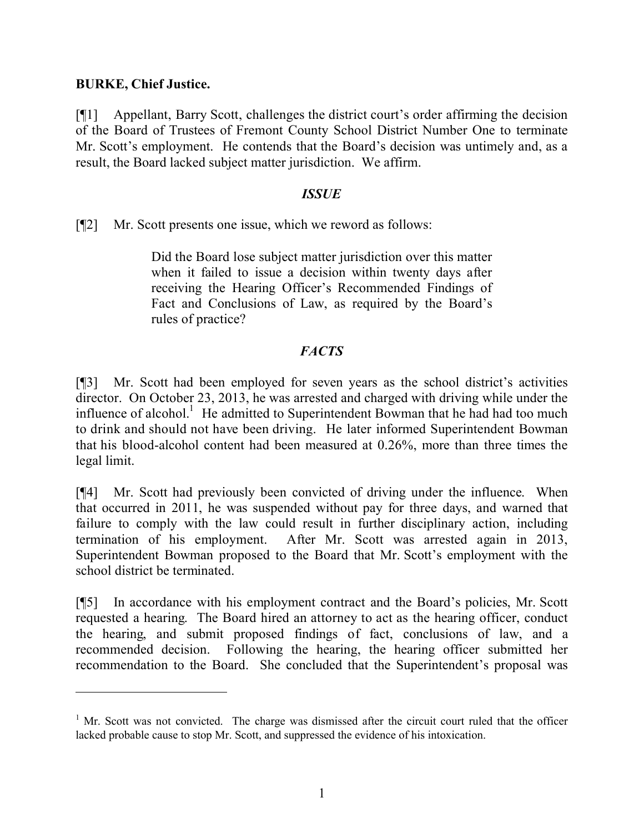## **BURKE, Chief Justice.**

 $\overline{a}$ 

[¶1] Appellant, Barry Scott, challenges the district court's order affirming the decision of the Board of Trustees of Fremont County School District Number One to terminate Mr. Scott's employment. He contends that the Board's decision was untimely and, as a result, the Board lacked subject matter jurisdiction. We affirm.

#### *ISSUE*

[¶2] Mr. Scott presents one issue, which we reword as follows:

Did the Board lose subject matter jurisdiction over this matter when it failed to issue a decision within twenty days after receiving the Hearing Officer's Recommended Findings of Fact and Conclusions of Law, as required by the Board's rules of practice?

## *FACTS*

[¶3] Mr. Scott had been employed for seven years as the school district's activities director. On October 23, 2013, he was arrested and charged with driving while under the influence of alcohol.<sup>1</sup> He admitted to Superintendent Bowman that he had had too much to drink and should not have been driving. He later informed Superintendent Bowman that his blood-alcohol content had been measured at 0.26%, more than three times the legal limit.

[¶4] Mr. Scott had previously been convicted of driving under the influence. When that occurred in 2011, he was suspended without pay for three days, and warned that failure to comply with the law could result in further disciplinary action, including termination of his employment. After Mr. Scott was arrested again in 2013, Superintendent Bowman proposed to the Board that Mr. Scott's employment with the school district be terminated.

[¶5] In accordance with his employment contract and the Board's policies, Mr. Scott requested a hearing. The Board hired an attorney to act as the hearing officer, conduct the hearing, and submit proposed findings of fact, conclusions of law, and a recommended decision. Following the hearing, the hearing officer submitted her recommendation to the Board. She concluded that the Superintendent's proposal was

 $1$  Mr. Scott was not convicted. The charge was dismissed after the circuit court ruled that the officer lacked probable cause to stop Mr. Scott, and suppressed the evidence of his intoxication.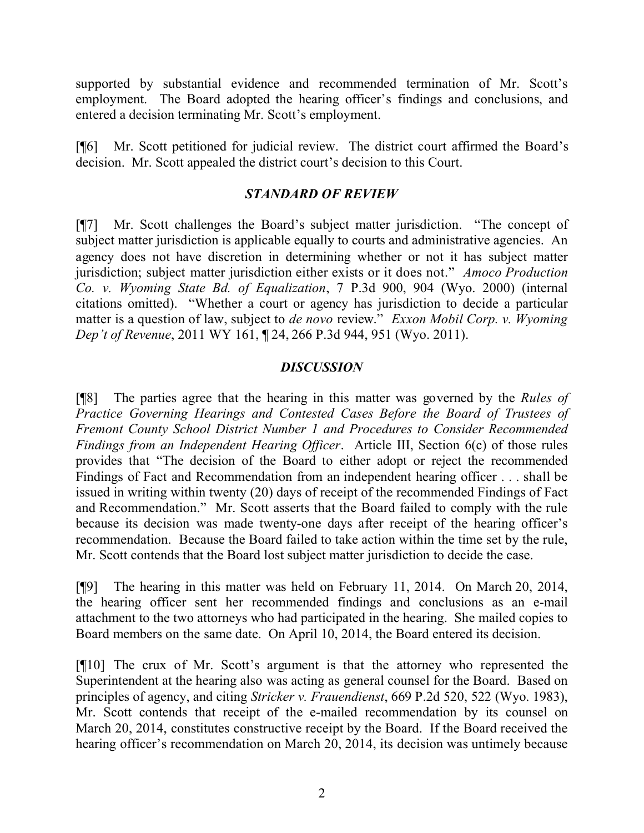supported by substantial evidence and recommended termination of Mr. Scott's employment. The Board adopted the hearing officer's findings and conclusions, and entered a decision terminating Mr. Scott's employment.

[¶6] Mr. Scott petitioned for judicial review. The district court affirmed the Board's decision. Mr. Scott appealed the district court's decision to this Court.

## *STANDARD OF REVIEW*

[¶7] Mr. Scott challenges the Board's subject matter jurisdiction. "The concept of subject matter jurisdiction is applicable equally to courts and administrative agencies. An agency does not have discretion in determining whether or not it has subject matter jurisdiction; subject matter jurisdiction either exists or it does not." *Amoco Production Co. v. Wyoming State Bd. of Equalization*, 7 P.3d 900, 904 (Wyo. 2000) (internal citations omitted). "Whether a court or agency has jurisdiction to decide a particular matter is a question of law, subject to *de novo* review." *Exxon Mobil Corp. v. Wyoming Dep't of Revenue*, 2011 WY 161, ¶ 24, 266 P.3d 944, 951 (Wyo. 2011).

#### *DISCUSSION*

[¶8] The parties agree that the hearing in this matter was governed by the *Rules of Practice Governing Hearings and Contested Cases Before the Board of Trustees of Fremont County School District Number 1 and Procedures to Consider Recommended Findings from an Independent Hearing Officer*. Article III, Section 6(c) of those rules provides that "The decision of the Board to either adopt or reject the recommended Findings of Fact and Recommendation from an independent hearing officer . . . shall be issued in writing within twenty (20) days of receipt of the recommended Findings of Fact and Recommendation." Mr. Scott asserts that the Board failed to comply with the rule because its decision was made twenty-one days after receipt of the hearing officer's recommendation. Because the Board failed to take action within the time set by the rule, Mr. Scott contends that the Board lost subject matter jurisdiction to decide the case.

[¶9] The hearing in this matter was held on February 11, 2014. On March 20, 2014, the hearing officer sent her recommended findings and conclusions as an e-mail attachment to the two attorneys who had participated in the hearing. She mailed copies to Board members on the same date. On April 10, 2014, the Board entered its decision.

[¶10] The crux of Mr. Scott's argument is that the attorney who represented the Superintendent at the hearing also was acting as general counsel for the Board. Based on principles of agency, and citing *Stricker v. Frauendienst*, 669 P.2d 520, 522 (Wyo. 1983), Mr. Scott contends that receipt of the e-mailed recommendation by its counsel on March 20, 2014, constitutes constructive receipt by the Board. If the Board received the hearing officer's recommendation on March 20, 2014, its decision was untimely because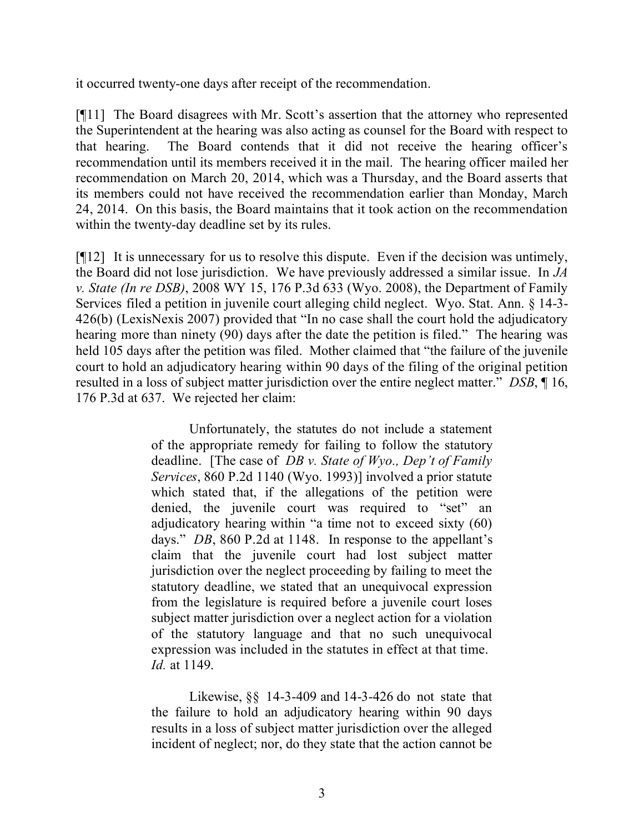it occurred twenty-one days after receipt of the recommendation.

[¶11] The Board disagrees with Mr. Scott's assertion that the attorney who represented the Superintendent at the hearing was also acting as counsel for the Board with respect to that hearing. The Board contends that it did not receive the hearing officer's recommendation until its members received it in the mail. The hearing officer mailed her recommendation on March 20, 2014, which was a Thursday, and the Board asserts that its members could not have received the recommendation earlier than Monday, March 24, 2014. On this basis, the Board maintains that it took action on the recommendation within the twenty-day deadline set by its rules.

[¶12] It is unnecessary for us to resolve this dispute. Even if the decision was untimely, the Board did not lose jurisdiction. We have previously addressed a similar issue. In *JA v. State (In re DSB)*, 2008 WY 15, 176 P.3d 633 (Wyo. 2008), the Department of Family Services filed a petition in juvenile court alleging child neglect. Wyo. Stat. Ann. § 14-3- 426(b) (LexisNexis 2007) provided that "In no case shall the court hold the adjudicatory hearing more than ninety (90) days after the date the petition is filed." The hearing was held 105 days after the petition was filed. Mother claimed that "the failure of the juvenile court to hold an adjudicatory hearing within 90 days of the filing of the original petition resulted in a loss of subject matter jurisdiction over the entire neglect matter." *DSB*, ¶ 16, 176 P.3d at 637. We rejected her claim:

> Unfortunately, the statutes do not include a statement of the appropriate remedy for failing to follow the statutory deadline. [The case of *DB v. State of Wyo., Dep't of Family Services*, 860 P.2d 1140 (Wyo. 1993)] involved a prior statute which stated that, if the allegations of the petition were denied, the juvenile court was required to "set" an adjudicatory hearing within "a time not to exceed sixty (60) days." *DB*, 860 P.2d at 1148. In response to the appellant's claim that the juvenile court had lost subject matter jurisdiction over the neglect proceeding by failing to meet the statutory deadline, we stated that an unequivocal expression from the legislature is required before a juvenile court loses subject matter jurisdiction over a neglect action for a violation of the statutory language and that no such unequivocal expression was included in the statutes in effect at that time. *Id.* at 1149.

> Likewise, §§ 14-3-409 and 14-3-426 do not state that the failure to hold an adjudicatory hearing within 90 days results in a loss of subject matter jurisdiction over the alleged incident of neglect; nor, do they state that the action cannot be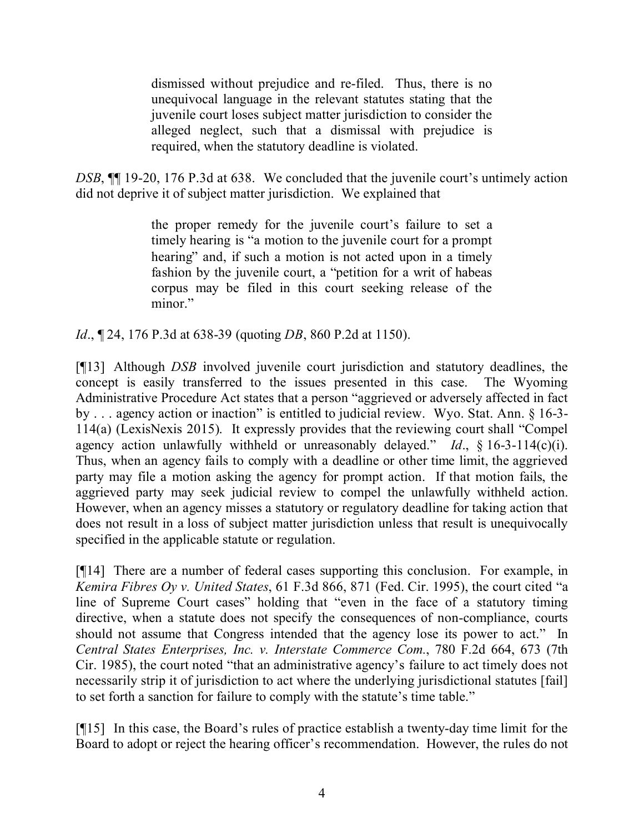dismissed without prejudice and re-filed. Thus, there is no unequivocal language in the relevant statutes stating that the juvenile court loses subject matter jurisdiction to consider the alleged neglect, such that a dismissal with prejudice is required, when the statutory deadline is violated.

*DSB*, **[14** 19-20, 176 P.3d at 638. We concluded that the juvenile court's untimely action did not deprive it of subject matter jurisdiction. We explained that

> the proper remedy for the juvenile court's failure to set a timely hearing is "a motion to the juvenile court for a prompt hearing" and, if such a motion is not acted upon in a timely fashion by the juvenile court, a "petition for a writ of habeas corpus may be filed in this court seeking release of the minor."

*Id*., ¶ 24, 176 P.3d at 638-39 (quoting *DB*, 860 P.2d at 1150).

[¶13] Although *DSB* involved juvenile court jurisdiction and statutory deadlines, the concept is easily transferred to the issues presented in this case. The Wyoming Administrative Procedure Act states that a person "aggrieved or adversely affected in fact by . . . agency action or inaction" is entitled to judicial review. Wyo. Stat. Ann. § 16-3- 114(a) (LexisNexis 2015). It expressly provides that the reviewing court shall "Compel agency action unlawfully withheld or unreasonably delayed." *Id*., § 16-3-114(c)(i). Thus, when an agency fails to comply with a deadline or other time limit, the aggrieved party may file a motion asking the agency for prompt action. If that motion fails, the aggrieved party may seek judicial review to compel the unlawfully withheld action. However, when an agency misses a statutory or regulatory deadline for taking action that does not result in a loss of subject matter jurisdiction unless that result is unequivocally specified in the applicable statute or regulation.

[¶14] There are a number of federal cases supporting this conclusion. For example, in *Kemira Fibres Oy v. United States*, 61 F.3d 866, 871 (Fed. Cir. 1995), the court cited "a line of Supreme Court cases" holding that "even in the face of a statutory timing directive, when a statute does not specify the consequences of non-compliance, courts should not assume that Congress intended that the agency lose its power to act." In *Central States Enterprises, Inc. v. Interstate Commerce Com.*, 780 F.2d 664, 673 (7th Cir. 1985), the court noted "that an administrative agency's failure to act timely does not necessarily strip it of jurisdiction to act where the underlying jurisdictional statutes [fail] to set forth a sanction for failure to comply with the statute's time table."

[¶15] In this case, the Board's rules of practice establish a twenty-day time limit for the Board to adopt or reject the hearing officer's recommendation. However, the rules do not